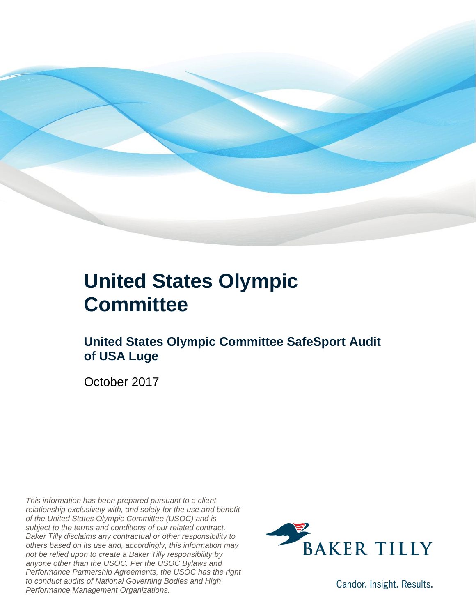

### **United States Olympic Committee**

### **United States Olympic Committee SafeSport Audit of USA Luge**

October 2017

*This information has been prepared pursuant to a client relationship exclusively with, and solely for the use and benefit of the United States Olympic Committee (USOC) and is subject to the terms and conditions of our related contract. Baker Tilly disclaims any contractual or other responsibility to others based on its use and, accordingly, this information may not be relied upon to create a Baker Tilly responsibility by anyone other than the USOC. Per the USOC Bylaws and Performance Partnership Agreements, the USOC has the right to conduct audits of National Governing Bodies and High Performance Management Organizations.*



Candor. Insight. Results.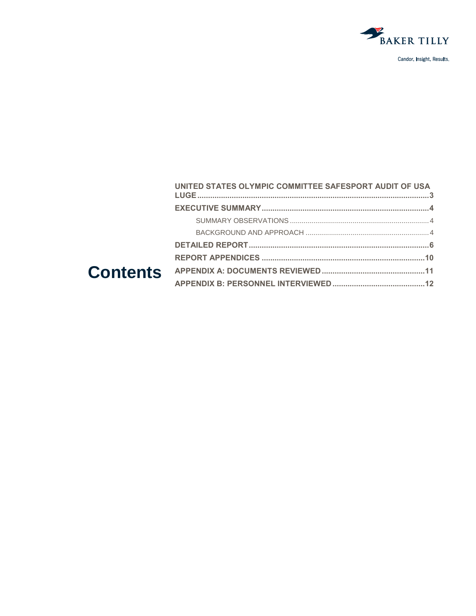

| UNITED STATES OLYMPIC COMMITTEE SAFESPORT AUDIT OF USA |  |
|--------------------------------------------------------|--|
|                                                        |  |
|                                                        |  |
|                                                        |  |
|                                                        |  |
|                                                        |  |
|                                                        |  |
|                                                        |  |
|                                                        |  |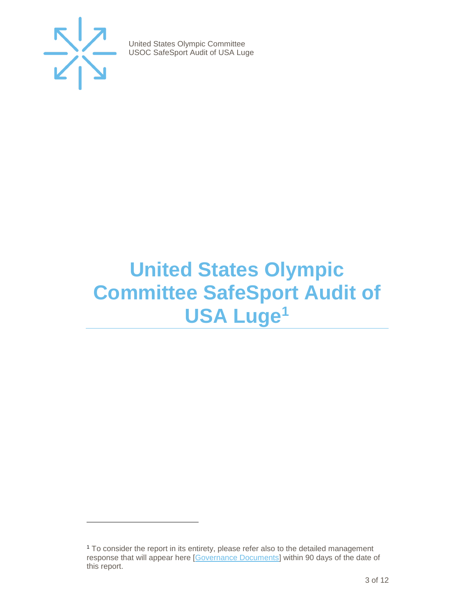

 $\overline{a}$ 

United States Olympic Committee USOC SafeSport Audit of USA Luge

## <span id="page-2-0"></span>**United States Olympic Committee SafeSport Audit of USA Luge<sup>1</sup>**

<sup>1</sup> To consider the report in its entirety, please refer also to the detailed management response that will appear here [\[Governance Documents\]](https://www.teamusa.org/Footer/Legal/Governance-Documents) within 90 days of the date of this report.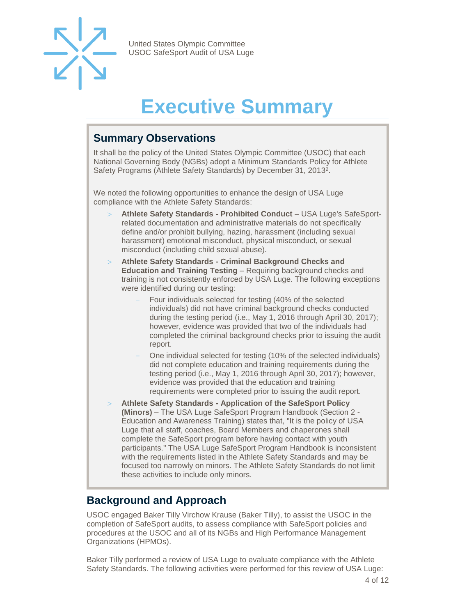

# **Executive Summary**

#### <span id="page-3-1"></span><span id="page-3-0"></span>**Summary Observations**

It shall be the policy of the United States Olympic Committee (USOC) that each National Governing Body (NGBs) adopt a Minimum Standards Policy for Athlete Safety Programs (Athlete Safety Standards) by December 31, 2013<sup>2</sup>.

We noted the following opportunities to enhance the design of USA Luge compliance with the Athlete Safety Standards:

- **Athlete Safety Standards - Prohibited Conduct** USA Luge's SafeSportrelated documentation and administrative materials do not specifically define and/or prohibit bullying, hazing, harassment (including sexual harassment) emotional misconduct, physical misconduct, or sexual misconduct (including child sexual abuse).
- **Athlete Safety Standards - Criminal Background Checks and Education and Training Testing** – Requiring background checks and training is not consistently enforced by USA Luge. The following exceptions were identified during our testing:
	- Four individuals selected for testing (40% of the selected individuals) did not have criminal background checks conducted during the testing period (i.e., May 1, 2016 through April 30, 2017); however, evidence was provided that two of the individuals had completed the criminal background checks prior to issuing the audit report.
	- One individual selected for testing (10% of the selected individuals) did not complete education and training requirements during the testing period (i.e., May 1, 2016 through April 30, 2017); however, evidence was provided that the education and training requirements were completed prior to issuing the audit report.
- **Athlete Safety Standards - Application of the SafeSport Policy (Minors)** – The USA Luge SafeSport Program Handbook (Section 2 - Education and Awareness Training) states that, "It is the policy of USA Luge that all staff, coaches, Board Members and chaperones shall complete the SafeSport program before having contact with youth participants." The USA Luge SafeSport Program Handbook is inconsistent with the requirements listed in the Athlete Safety Standards and may be focused too narrowly on minors. The Athlete Safety Standards do not limit these activities to include only minors.

#### <span id="page-3-2"></span>**Background and Approach**

USOC engaged Baker Tilly Virchow Krause (Baker Tilly), to assist the USOC in the completion of SafeSport audits, to assess compliance with SafeSport policies and procedures at the USOC and all of its NGBs and High Performance Management Organizations (HPMOs).

Baker Tilly performed a review of USA Luge to evaluate compliance with the Athlete Safety Standards. The following activities were performed for this review of USA Luge: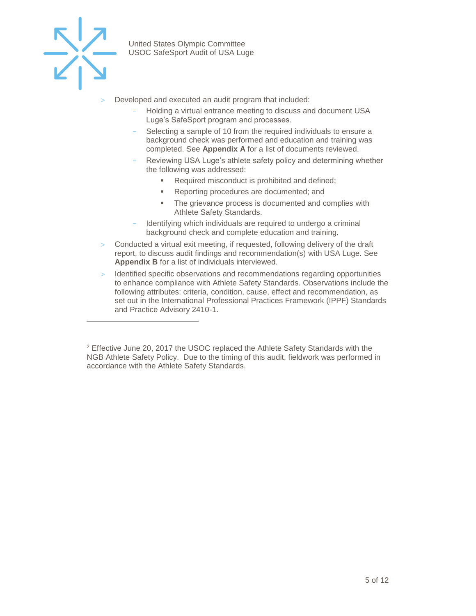

 $\overline{a}$ 

United States Olympic Committee USOC SafeSport Audit of USA Luge

- Developed and executed an audit program that included:
	- Holding a virtual entrance meeting to discuss and document USA Luge's SafeSport program and processes.
	- Selecting a sample of 10 from the required individuals to ensure a background check was performed and education and training was completed. See **Appendix A** for a list of documents reviewed.
	- Reviewing USA Luge's athlete safety policy and determining whether the following was addressed:
		- Required misconduct is prohibited and defined;
		- Reporting procedures are documented; and
		- The grievance process is documented and complies with Athlete Safety Standards.
	- Identifying which individuals are required to undergo a criminal background check and complete education and training.
- Conducted a virtual exit meeting, if requested, following delivery of the draft report, to discuss audit findings and recommendation(s) with USA Luge. See **Appendix B** for a list of individuals interviewed.
- $>$  Identified specific observations and recommendations regarding opportunities to enhance compliance with Athlete Safety Standards. Observations include the following attributes: criteria, condition, cause, effect and recommendation, as set out in the International Professional Practices Framework (IPPF) Standards and Practice Advisory 2410-1.

<sup>&</sup>lt;sup>2</sup> Effective June 20, 2017 the USOC replaced the Athlete Safety Standards with the NGB Athlete Safety Policy. Due to the timing of this audit, fieldwork was performed in accordance with the Athlete Safety Standards.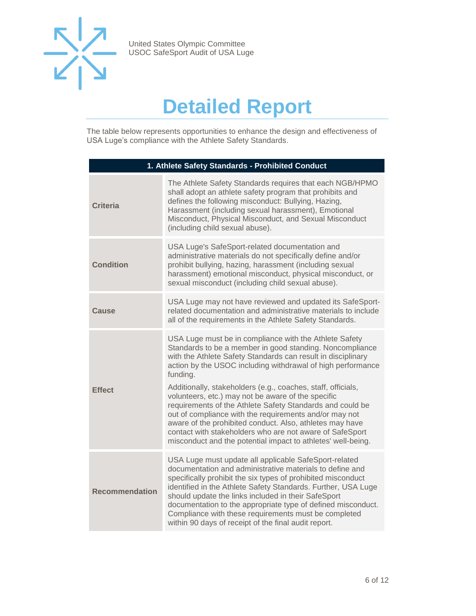

## **Detailed Report**

<span id="page-5-0"></span>The table below represents opportunities to enhance the design and effectiveness of USA Luge's compliance with the Athlete Safety Standards.

| 1. Athlete Safety Standards - Prohibited Conduct |                                                                                                                                                                                                                                                                                                                                                                                                                                                                                                                                                                                                                                                                                                    |  |
|--------------------------------------------------|----------------------------------------------------------------------------------------------------------------------------------------------------------------------------------------------------------------------------------------------------------------------------------------------------------------------------------------------------------------------------------------------------------------------------------------------------------------------------------------------------------------------------------------------------------------------------------------------------------------------------------------------------------------------------------------------------|--|
| <b>Criteria</b>                                  | The Athlete Safety Standards requires that each NGB/HPMO<br>shall adopt an athlete safety program that prohibits and<br>defines the following misconduct: Bullying, Hazing,<br>Harassment (including sexual harassment), Emotional<br>Misconduct, Physical Misconduct, and Sexual Misconduct<br>(including child sexual abuse).                                                                                                                                                                                                                                                                                                                                                                    |  |
| <b>Condition</b>                                 | USA Luge's SafeSport-related documentation and<br>administrative materials do not specifically define and/or<br>prohibit bullying, hazing, harassment (including sexual<br>harassment) emotional misconduct, physical misconduct, or<br>sexual misconduct (including child sexual abuse).                                                                                                                                                                                                                                                                                                                                                                                                          |  |
| Cause                                            | USA Luge may not have reviewed and updated its SafeSport-<br>related documentation and administrative materials to include<br>all of the requirements in the Athlete Safety Standards.                                                                                                                                                                                                                                                                                                                                                                                                                                                                                                             |  |
| <b>Effect</b>                                    | USA Luge must be in compliance with the Athlete Safety<br>Standards to be a member in good standing. Noncompliance<br>with the Athlete Safety Standards can result in disciplinary<br>action by the USOC including withdrawal of high performance<br>funding.<br>Additionally, stakeholders (e.g., coaches, staff, officials,<br>volunteers, etc.) may not be aware of the specific<br>requirements of the Athlete Safety Standards and could be<br>out of compliance with the requirements and/or may not<br>aware of the prohibited conduct. Also, athletes may have<br>contact with stakeholders who are not aware of SafeSport<br>misconduct and the potential impact to athletes' well-being. |  |
| <b>Recommendation</b>                            | USA Luge must update all applicable SafeSport-related<br>documentation and administrative materials to define and<br>specifically prohibit the six types of prohibited misconduct<br>identified in the Athlete Safety Standards. Further, USA Luge<br>should update the links included in their SafeSport<br>documentation to the appropriate type of defined misconduct.<br>Compliance with these requirements must be completed<br>within 90 days of receipt of the final audit report.                                                                                                                                                                                                          |  |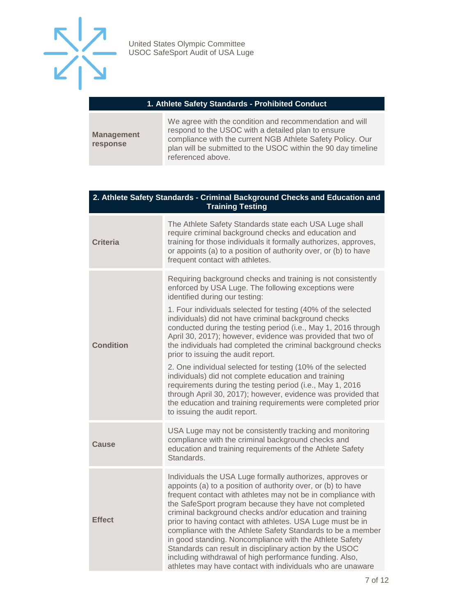

#### **1. Athlete Safety Standards - Prohibited Conduct**

|                               | We agree with the condition and recommendation and will       |
|-------------------------------|---------------------------------------------------------------|
| <b>Management</b><br>response | respond to the USOC with a detailed plan to ensure            |
|                               | compliance with the current NGB Athlete Safety Policy. Our    |
|                               | plan will be submitted to the USOC within the 90 day timeline |
|                               | referenced above.                                             |

#### **2. Athlete Safety Standards - Criminal Background Checks and Education and Training Testing**

| <b>Criteria</b>  | The Athlete Safety Standards state each USA Luge shall<br>require criminal background checks and education and<br>training for those individuals it formally authorizes, approves,<br>or appoints (a) to a position of authority over, or (b) to have<br>frequent contact with athletes.                                                                                                                                                                                                                                                                                                                                                                                                   |
|------------------|--------------------------------------------------------------------------------------------------------------------------------------------------------------------------------------------------------------------------------------------------------------------------------------------------------------------------------------------------------------------------------------------------------------------------------------------------------------------------------------------------------------------------------------------------------------------------------------------------------------------------------------------------------------------------------------------|
| <b>Condition</b> | Requiring background checks and training is not consistently<br>enforced by USA Luge. The following exceptions were<br>identified during our testing:<br>1. Four individuals selected for testing (40% of the selected<br>individuals) did not have criminal background checks<br>conducted during the testing period (i.e., May 1, 2016 through<br>April 30, 2017); however, evidence was provided that two of<br>the individuals had completed the criminal background checks<br>prior to issuing the audit report.                                                                                                                                                                      |
|                  | 2. One individual selected for testing (10% of the selected<br>individuals) did not complete education and training<br>requirements during the testing period (i.e., May 1, 2016<br>through April 30, 2017); however, evidence was provided that<br>the education and training requirements were completed prior<br>to issuing the audit report.                                                                                                                                                                                                                                                                                                                                           |
| Cause            | USA Luge may not be consistently tracking and monitoring<br>compliance with the criminal background checks and<br>education and training requirements of the Athlete Safety<br>Standards.                                                                                                                                                                                                                                                                                                                                                                                                                                                                                                  |
| <b>Effect</b>    | Individuals the USA Luge formally authorizes, approves or<br>appoints (a) to a position of authority over, or (b) to have<br>frequent contact with athletes may not be in compliance with<br>the SafeSport program because they have not completed<br>criminal background checks and/or education and training<br>prior to having contact with athletes. USA Luge must be in<br>compliance with the Athlete Safety Standards to be a member<br>in good standing. Noncompliance with the Athlete Safety<br>Standards can result in disciplinary action by the USOC<br>including withdrawal of high performance funding. Also,<br>athletes may have contact with individuals who are unaware |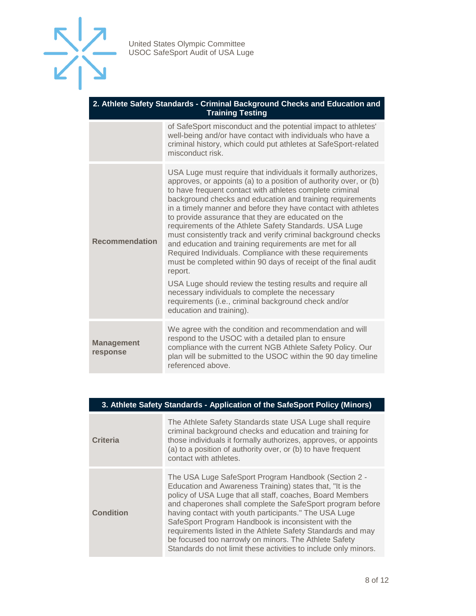

| 2. Athlete Safety Standards - Criminal Background Checks and Education and<br><b>Training Testing</b> |                                                                                                                                                                                                                                                                                                                                                                                                                                                                                                                                                                                                                                                                                                                                                                                                                                                                                                                         |  |
|-------------------------------------------------------------------------------------------------------|-------------------------------------------------------------------------------------------------------------------------------------------------------------------------------------------------------------------------------------------------------------------------------------------------------------------------------------------------------------------------------------------------------------------------------------------------------------------------------------------------------------------------------------------------------------------------------------------------------------------------------------------------------------------------------------------------------------------------------------------------------------------------------------------------------------------------------------------------------------------------------------------------------------------------|--|
|                                                                                                       | of SafeSport misconduct and the potential impact to athletes'<br>well-being and/or have contact with individuals who have a<br>criminal history, which could put athletes at SafeSport-related<br>misconduct risk.                                                                                                                                                                                                                                                                                                                                                                                                                                                                                                                                                                                                                                                                                                      |  |
| <b>Recommendation</b>                                                                                 | USA Luge must require that individuals it formally authorizes,<br>approves, or appoints (a) to a position of authority over, or (b)<br>to have frequent contact with athletes complete criminal<br>background checks and education and training requirements<br>in a timely manner and before they have contact with athletes<br>to provide assurance that they are educated on the<br>requirements of the Athlete Safety Standards. USA Luge<br>must consistently track and verify criminal background checks<br>and education and training requirements are met for all<br>Required Individuals. Compliance with these requirements<br>must be completed within 90 days of receipt of the final audit<br>report.<br>USA Luge should review the testing results and require all<br>necessary individuals to complete the necessary<br>requirements (i.e., criminal background check and/or<br>education and training). |  |
| <b>Management</b><br>response                                                                         | We agree with the condition and recommendation and will<br>respond to the USOC with a detailed plan to ensure<br>compliance with the current NGB Athlete Safety Policy. Our<br>plan will be submitted to the USOC within the 90 day timeline<br>referenced above.                                                                                                                                                                                                                                                                                                                                                                                                                                                                                                                                                                                                                                                       |  |

|  |  | 3. Athlete Safety Standards - Application of the SafeSport Policy (Minors) |  |
|--|--|----------------------------------------------------------------------------|--|
|--|--|----------------------------------------------------------------------------|--|

| <b>Criteria</b>  | The Athlete Safety Standards state USA Luge shall require<br>criminal background checks and education and training for<br>those individuals it formally authorizes, approves, or appoints<br>(a) to a position of authority over, or (b) to have frequent<br>contact with athletes.                                                                                                                                                                                                                                                                     |
|------------------|---------------------------------------------------------------------------------------------------------------------------------------------------------------------------------------------------------------------------------------------------------------------------------------------------------------------------------------------------------------------------------------------------------------------------------------------------------------------------------------------------------------------------------------------------------|
| <b>Condition</b> | The USA Luge SafeSport Program Handbook (Section 2 -<br>Education and Awareness Training) states that, "It is the<br>policy of USA Luge that all staff, coaches, Board Members<br>and chaperones shall complete the SafeSport program before<br>having contact with youth participants." The USA Luge<br>SafeSport Program Handbook is inconsistent with the<br>requirements listed in the Athlete Safety Standards and may<br>be focused too narrowly on minors. The Athlete Safety<br>Standards do not limit these activities to include only minors. |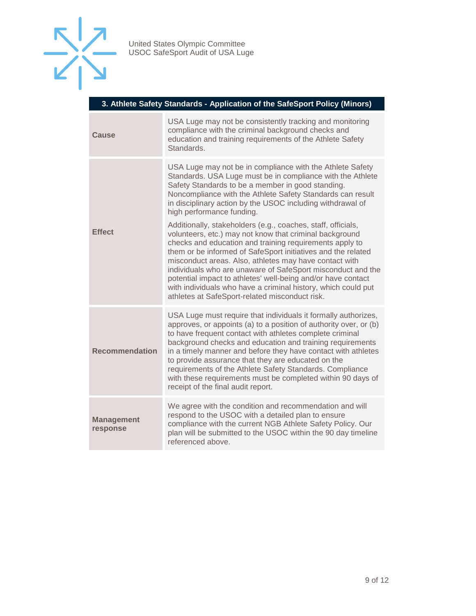

| 3. Athlete Safety Standards - Application of the SafeSport Policy (Minors) |  |  |  |
|----------------------------------------------------------------------------|--|--|--|
|                                                                            |  |  |  |

| Cause                         | USA Luge may not be consistently tracking and monitoring<br>compliance with the criminal background checks and<br>education and training requirements of the Athlete Safety<br>Standards.                                                                                                                                                                                                                                                                                                                                                            |
|-------------------------------|------------------------------------------------------------------------------------------------------------------------------------------------------------------------------------------------------------------------------------------------------------------------------------------------------------------------------------------------------------------------------------------------------------------------------------------------------------------------------------------------------------------------------------------------------|
| <b>Effect</b>                 | USA Luge may not be in compliance with the Athlete Safety<br>Standards. USA Luge must be in compliance with the Athlete<br>Safety Standards to be a member in good standing.<br>Noncompliance with the Athlete Safety Standards can result<br>in disciplinary action by the USOC including withdrawal of<br>high performance funding.<br>Additionally, stakeholders (e.g., coaches, staff, officials,                                                                                                                                                |
|                               | volunteers, etc.) may not know that criminal background<br>checks and education and training requirements apply to<br>them or be informed of SafeSport initiatives and the related<br>misconduct areas. Also, athletes may have contact with<br>individuals who are unaware of SafeSport misconduct and the<br>potential impact to athletes' well-being and/or have contact<br>with individuals who have a criminal history, which could put<br>athletes at SafeSport-related misconduct risk.                                                       |
| <b>Recommendation</b>         | USA Luge must require that individuals it formally authorizes,<br>approves, or appoints (a) to a position of authority over, or (b)<br>to have frequent contact with athletes complete criminal<br>background checks and education and training requirements<br>in a timely manner and before they have contact with athletes<br>to provide assurance that they are educated on the<br>requirements of the Athlete Safety Standards. Compliance<br>with these requirements must be completed within 90 days of<br>receipt of the final audit report. |
| <b>Management</b><br>response | We agree with the condition and recommendation and will<br>respond to the USOC with a detailed plan to ensure<br>compliance with the current NGB Athlete Safety Policy. Our<br>plan will be submitted to the USOC within the 90 day timeline<br>referenced above.                                                                                                                                                                                                                                                                                    |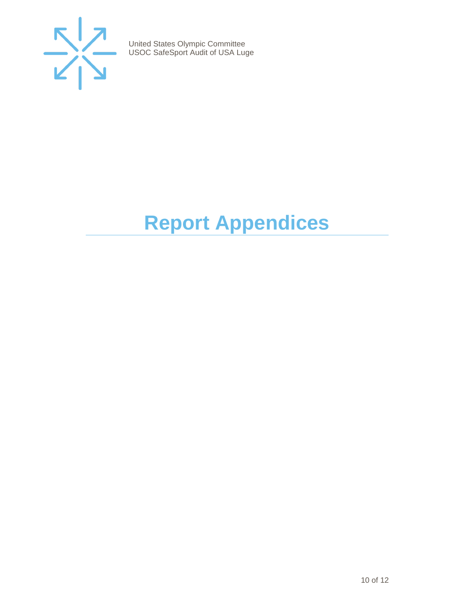

# <span id="page-9-0"></span>**Report Appendices**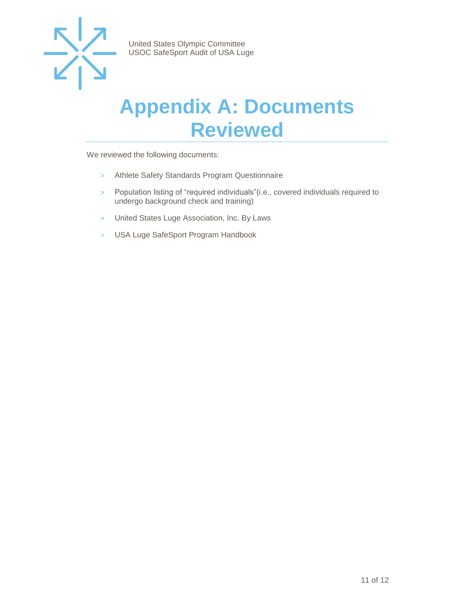

## <span id="page-10-0"></span>**Appendix A: Documents Reviewed**

We reviewed the following documents:

- > Athlete Safety Standards Program Questionnaire
- > Population listing of "required individuals"(i.e., covered individuals required to undergo background check and training)
- > United States Luge Association, Inc. By Laws
- > USA Luge SafeSport Program Handbook